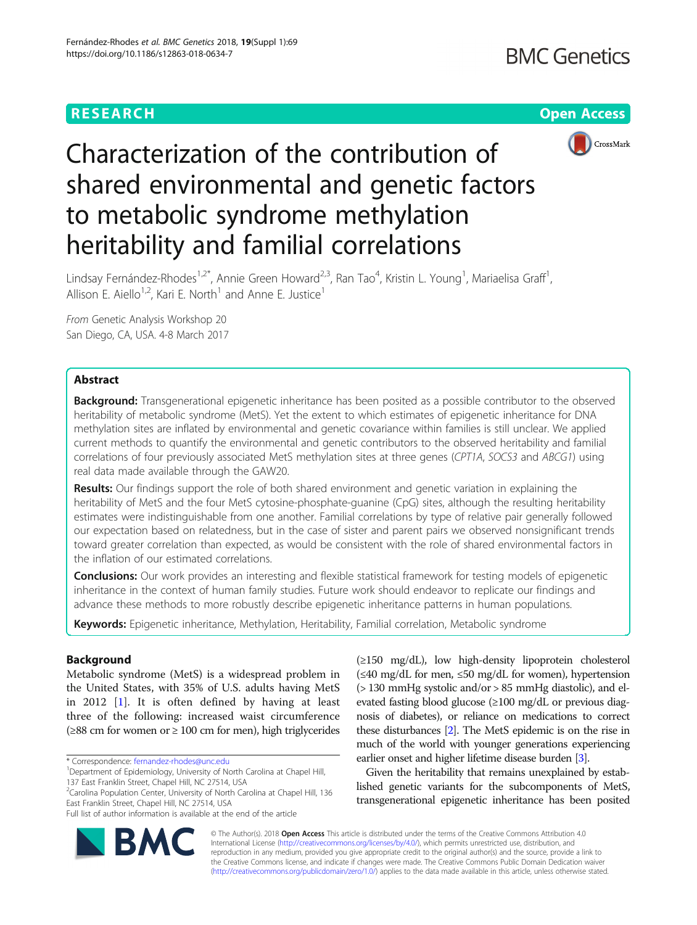## **RESEARCH CHEAR CHEAR CHEAR CHEAR CHEAR CHEAR CHEAR CHEAR CHEAP CHEAP CHEAP CHEAP CHEAP CHEAP CHEAP CHEAP CHEAP**



# Characterization of the contribution of shared environmental and genetic factors to metabolic syndrome methylation heritability and familial correlations

Lindsay Fernández-Rhodes<sup>1,2\*</sup>, Annie Green Howard<sup>2,3</sup>, Ran Tao<sup>4</sup>, Kristin L. Young<sup>1</sup>, Mariaelisa Graff<sup>1</sup> , Allison E. Aiello<sup>1,2</sup>, Kari E. North<sup>1</sup> and Anne E. Justice<sup>1</sup>

From Genetic Analysis Workshop 20 San Diego, CA, USA. 4-8 March 2017

## Abstract

Background: Transgenerational epigenetic inheritance has been posited as a possible contributor to the observed heritability of metabolic syndrome (MetS). Yet the extent to which estimates of epigenetic inheritance for DNA methylation sites are inflated by environmental and genetic covariance within families is still unclear. We applied current methods to quantify the environmental and genetic contributors to the observed heritability and familial correlations of four previously associated MetS methylation sites at three genes (CPT1A, SOCS3 and ABCG1) using real data made available through the GAW20.

Results: Our findings support the role of both shared environment and genetic variation in explaining the heritability of MetS and the four MetS cytosine-phosphate-guanine (CpG) sites, although the resulting heritability estimates were indistinguishable from one another. Familial correlations by type of relative pair generally followed our expectation based on relatedness, but in the case of sister and parent pairs we observed nonsignificant trends toward greater correlation than expected, as would be consistent with the role of shared environmental factors in the inflation of our estimated correlations.

**Conclusions:** Our work provides an interesting and flexible statistical framework for testing models of epigenetic inheritance in the context of human family studies. Future work should endeavor to replicate our findings and advance these methods to more robustly describe epigenetic inheritance patterns in human populations.

Keywords: Epigenetic inheritance, Methylation, Heritability, Familial correlation, Metabolic syndrome

## Background

Metabolic syndrome (MetS) is a widespread problem in the United States, with 35% of U.S. adults having MetS in 2012 [[1\]](#page-7-0). It is often defined by having at least three of the following: increased waist circumference (≥88 cm for women or  $≥ 100$  cm for men), high triglycerides

\* Correspondence: [fernandez-rhodes@unc.edu](mailto:fernandez-rhodes@unc.edu) <sup>1</sup>



Given the heritability that remains unexplained by established genetic variants for the subcomponents of MetS, transgenerational epigenetic inheritance has been posited



© The Author(s). 2018 Open Access This article is distributed under the terms of the Creative Commons Attribution 4.0 International License [\(http://creativecommons.org/licenses/by/4.0/](http://creativecommons.org/licenses/by/4.0/)), which permits unrestricted use, distribution, and reproduction in any medium, provided you give appropriate credit to the original author(s) and the source, provide a link to the Creative Commons license, and indicate if changes were made. The Creative Commons Public Domain Dedication waiver [\(http://creativecommons.org/publicdomain/zero/1.0/](http://creativecommons.org/publicdomain/zero/1.0/)) applies to the data made available in this article, unless otherwise stated.

<sup>&</sup>lt;sup>1</sup>Department of Epidemiology, University of North Carolina at Chapel Hill, 137 East Franklin Street, Chapel Hill, NC 27514, USA

<sup>&</sup>lt;sup>2</sup>Carolina Population Center, University of North Carolina at Chapel Hill, 136 East Franklin Street, Chapel Hill, NC 27514, USA

Full list of author information is available at the end of the article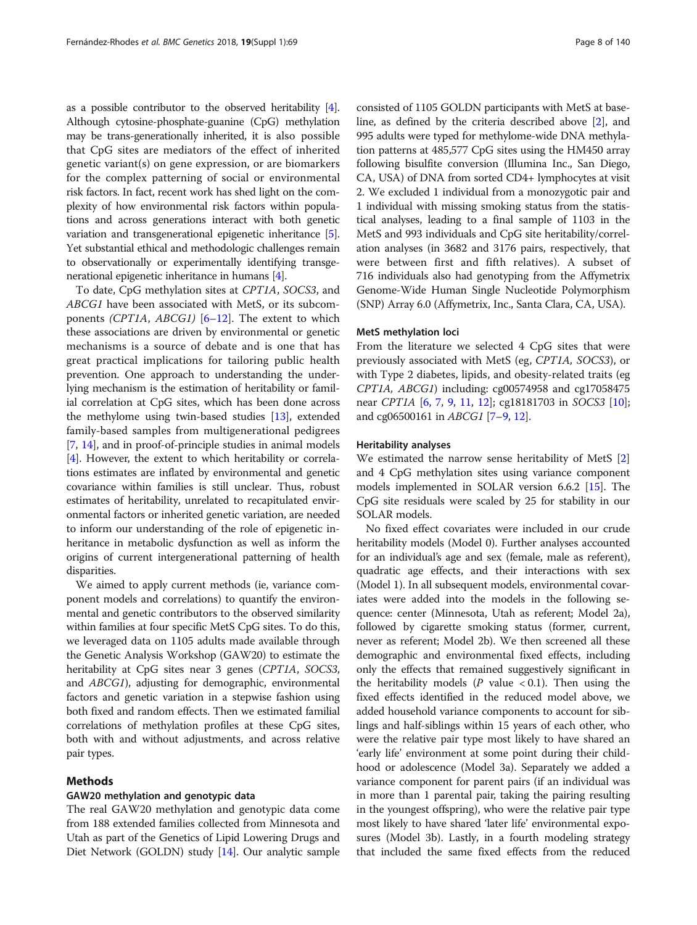as a possible contributor to the observed heritability [[4](#page-7-0)]. Although cytosine-phosphate-guanine (CpG) methylation may be trans-generationally inherited, it is also possible that CpG sites are mediators of the effect of inherited genetic variant(s) on gene expression, or are biomarkers for the complex patterning of social or environmental risk factors. In fact, recent work has shed light on the complexity of how environmental risk factors within populations and across generations interact with both genetic variation and transgenerational epigenetic inheritance [[5](#page-7-0)]. Yet substantial ethical and methodologic challenges remain to observationally or experimentally identifying transgenerational epigenetic inheritance in humans [[4](#page-7-0)].

To date, CpG methylation sites at CPT1A, SOCS3, and ABCG1 have been associated with MetS, or its subcom-ponents (CPT1A, ABCG1) [\[6](#page-7-0)-[12\]](#page-7-0). The extent to which these associations are driven by environmental or genetic mechanisms is a source of debate and is one that has great practical implications for tailoring public health prevention. One approach to understanding the underlying mechanism is the estimation of heritability or familial correlation at CpG sites, which has been done across the methylome using twin-based studies [\[13](#page-7-0)], extended family-based samples from multigenerational pedigrees [[7,](#page-7-0) [14](#page-7-0)], and in proof-of-principle studies in animal models [[4\]](#page-7-0). However, the extent to which heritability or correlations estimates are inflated by environmental and genetic covariance within families is still unclear. Thus, robust estimates of heritability, unrelated to recapitulated environmental factors or inherited genetic variation, are needed to inform our understanding of the role of epigenetic inheritance in metabolic dysfunction as well as inform the origins of current intergenerational patterning of health disparities.

We aimed to apply current methods (ie, variance component models and correlations) to quantify the environmental and genetic contributors to the observed similarity within families at four specific MetS CpG sites. To do this, we leveraged data on 1105 adults made available through the Genetic Analysis Workshop (GAW20) to estimate the heritability at CpG sites near 3 genes (CPT1A, SOCS3, and ABCG1), adjusting for demographic, environmental factors and genetic variation in a stepwise fashion using both fixed and random effects. Then we estimated familial correlations of methylation profiles at these CpG sites, both with and without adjustments, and across relative pair types.

#### Methods

#### GAW20 methylation and genotypic data

The real GAW20 methylation and genotypic data come from 188 extended families collected from Minnesota and Utah as part of the Genetics of Lipid Lowering Drugs and Diet Network (GOLDN) study [\[14\]](#page-7-0). Our analytic sample consisted of 1105 GOLDN participants with MetS at baseline, as defined by the criteria described above [\[2](#page-7-0)], and 995 adults were typed for methylome-wide DNA methylation patterns at 485,577 CpG sites using the HM450 array following bisulfite conversion (Illumina Inc., San Diego, CA, USA) of DNA from sorted CD4+ lymphocytes at visit 2. We excluded 1 individual from a monozygotic pair and 1 individual with missing smoking status from the statistical analyses, leading to a final sample of 1103 in the MetS and 993 individuals and CpG site heritability/correlation analyses (in 3682 and 3176 pairs, respectively, that were between first and fifth relatives). A subset of 716 individuals also had genotyping from the Affymetrix Genome-Wide Human Single Nucleotide Polymorphism (SNP) Array 6.0 (Affymetrix, Inc., Santa Clara, CA, USA).

#### MetS methylation loci

From the literature we selected 4 CpG sites that were previously associated with MetS (eg, CPT1A, SOCS3), or with Type 2 diabetes, lipids, and obesity-related traits (eg CPT1A, ABCG1) including: cg00574958 and cg17058475 near CPT1A [[6,](#page-7-0) [7](#page-7-0), [9](#page-7-0), [11,](#page-7-0) [12](#page-7-0)]; cg18181703 in SOCS3 [[10](#page-7-0)]; and cg06500161 in ABCG1 [[7](#page-7-0)–[9](#page-7-0), [12\]](#page-7-0).

### Heritability analyses

We estimated the narrow sense heritability of MetS [\[2](#page-7-0)] and 4 CpG methylation sites using variance component models implemented in SOLAR version 6.6.2 [\[15\]](#page-7-0). The CpG site residuals were scaled by 25 for stability in our SOLAR models.

No fixed effect covariates were included in our crude heritability models (Model 0). Further analyses accounted for an individual's age and sex (female, male as referent), quadratic age effects, and their interactions with sex (Model 1). In all subsequent models, environmental covariates were added into the models in the following sequence: center (Minnesota, Utah as referent; Model 2a), followed by cigarette smoking status (former, current, never as referent; Model 2b). We then screened all these demographic and environmental fixed effects, including only the effects that remained suggestively significant in the heritability models ( $P$  value < 0.1). Then using the fixed effects identified in the reduced model above, we added household variance components to account for siblings and half-siblings within 15 years of each other, who were the relative pair type most likely to have shared an 'early life' environment at some point during their childhood or adolescence (Model 3a). Separately we added a variance component for parent pairs (if an individual was in more than 1 parental pair, taking the pairing resulting in the youngest offspring), who were the relative pair type most likely to have shared 'later life' environmental exposures (Model 3b). Lastly, in a fourth modeling strategy that included the same fixed effects from the reduced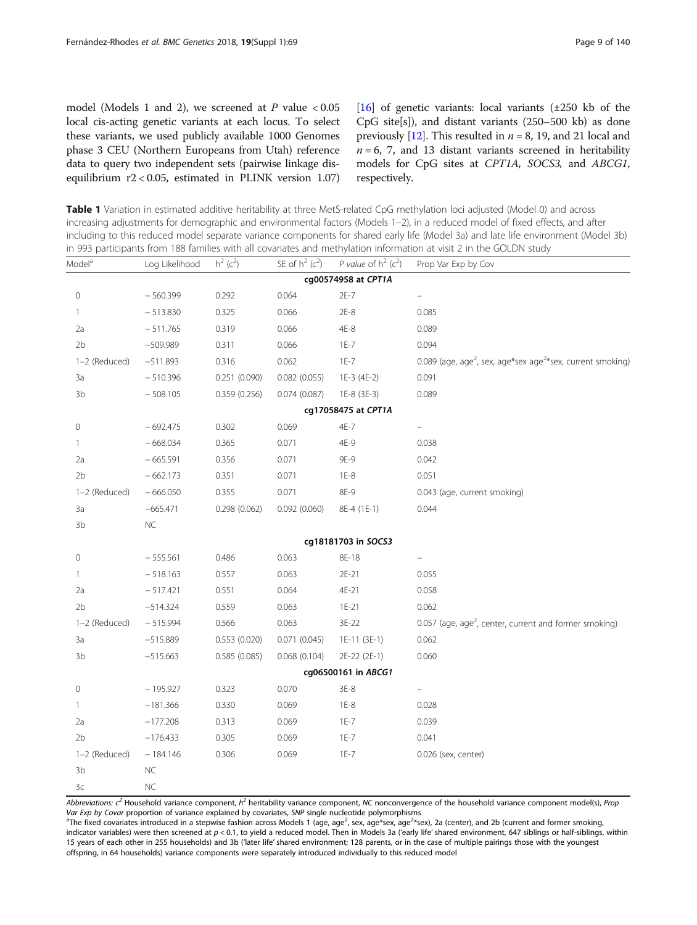<span id="page-2-0"></span>model (Models 1 and 2), we screened at  $P$  value  $< 0.05$ local cis-acting genetic variants at each locus. To select these variants, we used publicly available 1000 Genomes phase 3 CEU (Northern Europeans from Utah) reference data to query two independent sets (pairwise linkage disequilibrium r2 < 0.05, estimated in PLINK version 1.07) [[16](#page-7-0)] of genetic variants: local variants  $(\pm 250 \text{ kb of the})$ CpG site[s]), and distant variants (250–500 kb) as done previously [\[12\]](#page-7-0). This resulted in  $n = 8$ , 19, and 21 local and  $n = 6$ , 7, and 13 distant variants screened in heritability models for CpG sites at CPT1A, SOCS3, and ABCG1, respectively.

Table 1 Variation in estimated additive heritability at three MetS-related CpG methylation loci adjusted (Model 0) and across increasing adjustments for demographic and environmental factors (Models 1–2), in a reduced model of fixed effects, and after including to this reduced model separate variance components for shared early life (Model 3a) and late life environment (Model 3b) in 993 participants from 188 families with all covariates and methylation information at visit 2 in the GOLDN study

|                     | Model <sup>a</sup> | Log Likelihood | $h^2$ (c <sup>2</sup> ) | SE of $h^2$ ( $c^2$ ) | P value of $h^2$ (c <sup>2</sup> ) | Prop Var Exp by Cov                                                                 |  |  |  |  |  |  |  |
|---------------------|--------------------|----------------|-------------------------|-----------------------|------------------------------------|-------------------------------------------------------------------------------------|--|--|--|--|--|--|--|
|                     |                    |                |                         |                       | cg00574958 at CPT1A                |                                                                                     |  |  |  |  |  |  |  |
|                     | 0                  | $-560.399$     | 0.292                   | 0.064                 | $2E-7$                             |                                                                                     |  |  |  |  |  |  |  |
|                     | 1                  | $-513.830$     | 0.325                   | 0.066                 | $2E-8$                             | 0.085                                                                               |  |  |  |  |  |  |  |
|                     | 2a                 | $-511.765$     | 0.319                   | 0.066                 | $4E-8$                             | 0.089                                                                               |  |  |  |  |  |  |  |
|                     | 2b                 | $-509.989$     | 0.311                   | 0.066                 | $1E-7$                             | 0.094                                                                               |  |  |  |  |  |  |  |
|                     | 1-2 (Reduced)      | $-511.893$     | 0.316                   | 0.062                 | $1E-7$                             | 0.089 (age, age <sup>2</sup> , sex, age*sex age <sup>2*</sup> sex, current smoking) |  |  |  |  |  |  |  |
|                     | 3a                 | $-510.396$     | 0.251 (0.090)           | 0.082(0.055)          | 1E-3 (4E-2)                        | 0.091                                                                               |  |  |  |  |  |  |  |
|                     | 3b                 | $-508.105$     | 0.359(0.256)            | 0.074(0.087)          | 1E-8 (3E-3)                        | 0.089                                                                               |  |  |  |  |  |  |  |
| cg17058475 at CPT1A |                    |                |                         |                       |                                    |                                                                                     |  |  |  |  |  |  |  |
|                     | 0                  | $-692.475$     | 0.302                   | 0.069                 | 4E-7                               | -                                                                                   |  |  |  |  |  |  |  |
|                     | 1                  | $-668.034$     | 0.365                   | 0.071                 | 4E-9                               | 0.038                                                                               |  |  |  |  |  |  |  |
|                     | 2a                 | $-665.591$     | 0.356                   | 0.071                 | 9E-9                               | 0.042                                                                               |  |  |  |  |  |  |  |
|                     | 2 <sub>b</sub>     | $-662.173$     | 0.351                   | 0.071                 | $1E-8$                             | 0.051                                                                               |  |  |  |  |  |  |  |
|                     | 1-2 (Reduced)      | $-666.050$     | 0.355                   | 0.071                 | 8E-9                               | 0.043 (age, current smoking)                                                        |  |  |  |  |  |  |  |
|                     | За                 | $-665.471$     | 0.298(0.062)            | 0.092(0.060)          | 8E-4 (1E-1)                        | 0.044                                                                               |  |  |  |  |  |  |  |
|                     | 3b                 | $\sf NC$       |                         |                       |                                    |                                                                                     |  |  |  |  |  |  |  |
| cg18181703 in SOCS3 |                    |                |                         |                       |                                    |                                                                                     |  |  |  |  |  |  |  |
|                     | 0                  | $-555.561$     | 0.486                   | 0.063                 | 8E-18                              |                                                                                     |  |  |  |  |  |  |  |
|                     | 1                  | $-518.163$     | 0.557                   | 0.063                 | $2E-21$                            | 0.055                                                                               |  |  |  |  |  |  |  |
|                     | 2a                 | $-517.421$     | 0.551                   | 0.064                 | 4E-21                              | 0.058                                                                               |  |  |  |  |  |  |  |
|                     | 2 <sub>b</sub>     | $-514.324$     | 0.559                   | 0.063                 | $1E-21$                            | 0.062                                                                               |  |  |  |  |  |  |  |
|                     | 1-2 (Reduced)      | $-515.994$     | 0.566                   | 0.063                 | $3E-22$                            | 0.057 (age, age <sup>2</sup> , center, current and former smoking)                  |  |  |  |  |  |  |  |
|                     | 3a                 | $-515.889$     | 0.553 (0.020)           | 0.071(0.045)          | 1E-11 (3E-1)                       | 0.062                                                                               |  |  |  |  |  |  |  |
|                     | 3 <sub>b</sub>     | $-515.663$     | 0.585 (0.085)           | 0.068(0.104)          | 2E-22 (2E-1)                       | 0.060                                                                               |  |  |  |  |  |  |  |
|                     |                    |                |                         |                       | cg06500161 in ABCG1                |                                                                                     |  |  |  |  |  |  |  |
|                     | 0                  | $-195.927$     | 0.323                   | 0.070                 | $3E-8$                             | -                                                                                   |  |  |  |  |  |  |  |
|                     | 1                  | $-181.366$     | 0.330                   | 0.069                 | $1E-8$                             | 0.028                                                                               |  |  |  |  |  |  |  |
|                     | 2a                 | $-177.208$     | 0.313                   | 0.069                 | $1E-7$                             | 0.039                                                                               |  |  |  |  |  |  |  |
|                     | 2b                 | $-176.433$     | 0.305                   | 0.069                 | $1E-7$                             | 0.041                                                                               |  |  |  |  |  |  |  |
|                     | 1-2 (Reduced)      | $-184.146$     | 0.306                   | 0.069                 | $1E-7$                             | 0.026 (sex, center)                                                                 |  |  |  |  |  |  |  |
|                     | 3 <sub>b</sub>     | NC             |                         |                       |                                    |                                                                                     |  |  |  |  |  |  |  |
|                     | 3c                 | <b>NC</b>      |                         |                       |                                    |                                                                                     |  |  |  |  |  |  |  |

Abbreviations:  $c^2$  Household variance component,  $h^2$  heritability variance component, NC nonconvergence of the household variance component model(s), Prop Var Exp by Covar proportion of variance explained by covariates, SNP single nucleotide polymorphisms

The fixed covariates introduced in a stepwise fashion across Models 1 (age, age<sup>2</sup>, sex, age<sup>\*</sup>sex, age<sup>2\*</sup>sex), 2a (center), and 2b (current and former smoking, indicator variables) were then screened at  $p < 0.1$ , to yield a reduced model. Then in Models 3a ('early life' shared environment, 647 siblings or half-siblings, within 15 years of each other in 255 households) and 3b ('later life' shared environment; 128 parents, or in the case of multiple pairings those with the youngest offspring, in 64 households) variance components were separately introduced individually to this reduced model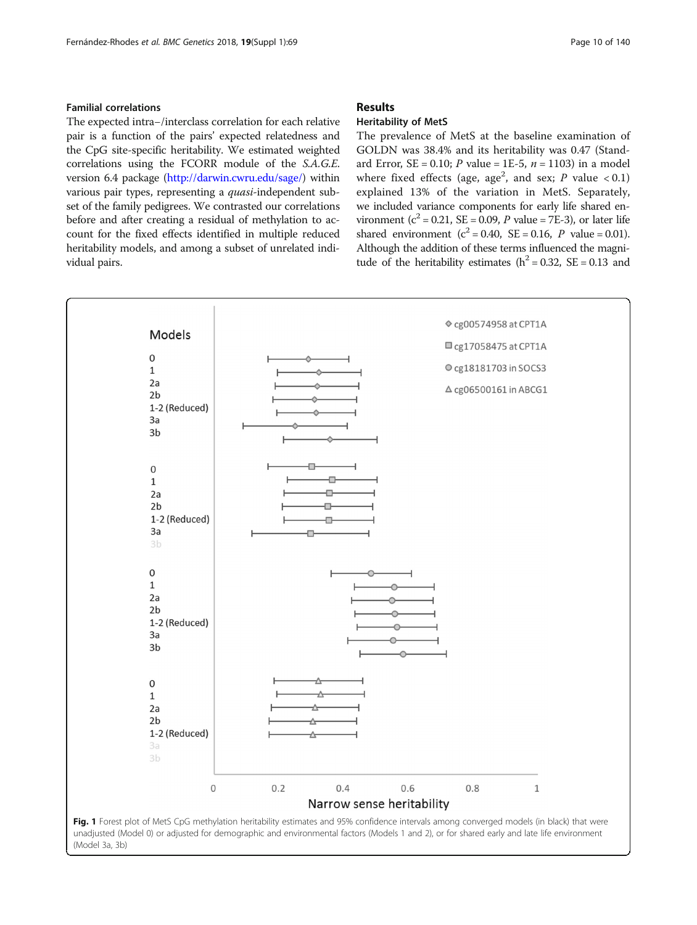## <span id="page-3-0"></span>Familial correlations

The expected intra−/interclass correlation for each relative pair is a function of the pairs' expected relatedness and the CpG site-specific heritability. We estimated weighted correlations using the FCORR module of the S.A.G.E. version 6.4 package ([http://darwin.cwru.edu/sage/](http://darwin.cwru.edu/sage)) within various pair types, representing a quasi-independent subset of the family pedigrees. We contrasted our correlations before and after creating a residual of methylation to account for the fixed effects identified in multiple reduced heritability models, and among a subset of unrelated individual pairs.

## Results

## Heritability of MetS

The prevalence of MetS at the baseline examination of GOLDN was 38.4% and its heritability was 0.47 (Standard Error,  $SE = 0.10$ ; *P* value = 1E-5, *n* = 1103) in a model where fixed effects (age, age<sup>2</sup>, and sex; P value < 0.1) explained 13% of the variation in MetS. Separately, we included variance components for early life shared environment ( $c^2$  = 0.21, SE = 0.09, P value = 7E-3), or later life shared environment ( $c^2 = 0.40$ , SE = 0.16, P value = 0.01). Although the addition of these terms influenced the magnitude of the heritability estimates ( $h^2 = 0.32$ , SE = 0.13 and

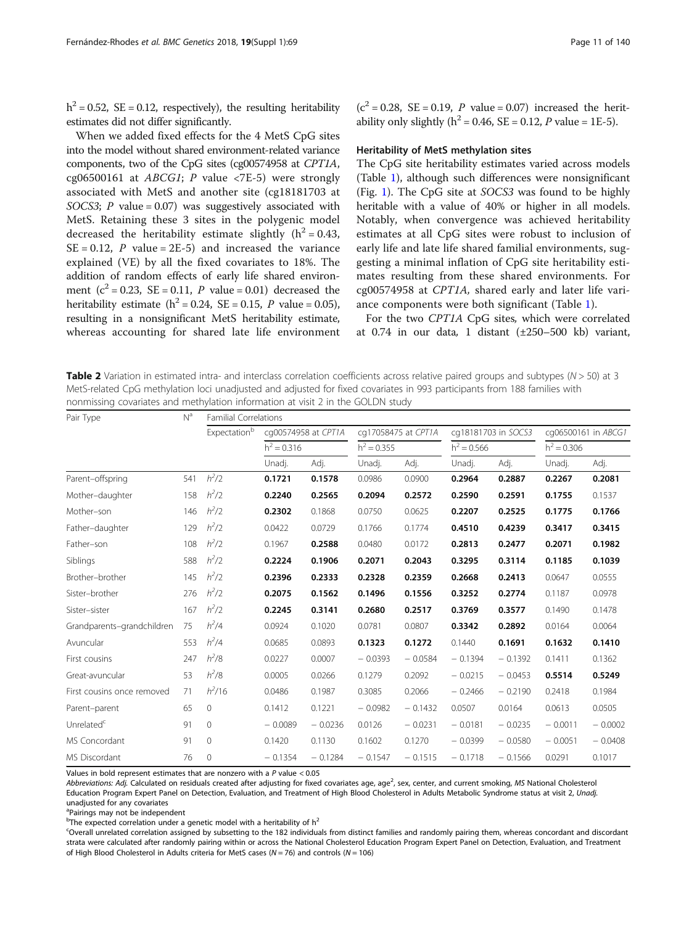<span id="page-4-0"></span> $h^2 = 0.52$ , SE = 0.12, respectively), the resulting heritability estimates did not differ significantly.

When we added fixed effects for the 4 MetS CpG sites into the model without shared environment-related variance components, two of the CpG sites (cg00574958 at CPT1A, cg06500161 at  $ABCGI$ ; P value <7E-5) were strongly associated with MetS and another site (cg18181703 at SOCS3; P value =  $0.07$ ) was suggestively associated with MetS. Retaining these 3 sites in the polygenic model decreased the heritability estimate slightly  $(h^2 = 0.43,$  $SE = 0.12$ , *P* value = 2E-5) and increased the variance explained (VE) by all the fixed covariates to 18%. The addition of random effects of early life shared environment  $(c^2 = 0.23, SE = 0.11, P$  value = 0.01) decreased the heritability estimate ( $h^2 = 0.24$ , SE = 0.15, P value = 0.05), resulting in a nonsignificant MetS heritability estimate, whereas accounting for shared late life environment

 $(c^2 = 0.28, SE = 0.19, P value = 0.07)$  increased the heritability only slightly ( $h^2 = 0.46$ , SE = 0.12, P value = 1E-5).

#### Heritability of MetS methylation sites

The CpG site heritability estimates varied across models (Table [1\)](#page-2-0), although such differences were nonsignificant (Fig. [1\)](#page-3-0). The CpG site at SOCS3 was found to be highly heritable with a value of 40% or higher in all models. Notably, when convergence was achieved heritability estimates at all CpG sites were robust to inclusion of early life and late life shared familial environments, suggesting a minimal inflation of CpG site heritability estimates resulting from these shared environments. For cg00574958 at CPT1A, shared early and later life variance components were both significant (Table [1](#page-2-0)).

For the two CPT1A CpG sites, which were correlated at 0.74 in our data, 1 distant (±250–500 kb) variant,

**Table 2** Variation in estimated intra- and interclass correlation coefficients across relative paired groups and subtypes ( $N$  > 50) at 3 MetS-related CpG methylation loci unadjusted and adjusted for fixed covariates in 993 participants from 188 families with nonmissing covariates and methylation information at visit 2 in the GOLDN study

| Pair Type                  | N <sup>a</sup> | <b>Familial Correlations</b> |                     |           |                     |           |                     |           |                     |           |  |
|----------------------------|----------------|------------------------------|---------------------|-----------|---------------------|-----------|---------------------|-----------|---------------------|-----------|--|
|                            |                | Expectation <sup>b</sup>     | cg00574958 at CPT1A |           | cq17058475 at CPT1A |           | cq18181703 in SOCS3 |           | cq06500161 in ABCG1 |           |  |
|                            |                |                              | $h^2 = 0.316$       |           | $h^2 = 0.355$       |           | $h^2 = 0.566$       |           | $h^2 = 0.306$       |           |  |
|                            |                |                              | Unadj.              | Adj.      | Unadj.              | Adj.      | Unadj.              | Adj.      | Unadj.              | Adj.      |  |
| Parent-offspring           | 541            | $h^2/2$                      | 0.1721              | 0.1578    | 0.0986              | 0.0900    | 0.2964              | 0.2887    | 0.2267              | 0.2081    |  |
| Mother-daughter            | 158            | $h^2/2$                      | 0.2240              | 0.2565    | 0.2094              | 0.2572    | 0.2590              | 0.2591    | 0.1755              | 0.1537    |  |
| Mother-son                 | 146            | $h^2/2$                      | 0.2302              | 0.1868    | 0.0750              | 0.0625    | 0.2207              | 0.2525    | 0.1775              | 0.1766    |  |
| Father-daughter            | 129            | $h^2/2$                      | 0.0422              | 0.0729    | 0.1766              | 0.1774    | 0.4510              | 0.4239    | 0.3417              | 0.3415    |  |
| Father-son                 | 108            | $h^2/2$                      | 0.1967              | 0.2588    | 0.0480              | 0.0172    | 0.2813              | 0.2477    | 0.2071              | 0.1982    |  |
| Siblings                   | 588            | $h^2/2$                      | 0.2224              | 0.1906    | 0.2071              | 0.2043    | 0.3295              | 0.3114    | 0.1185              | 0.1039    |  |
| Brother-brother            | 145            | $h^2/2$                      | 0.2396              | 0.2333    | 0.2328              | 0.2359    | 0.2668              | 0.2413    | 0.0647              | 0.0555    |  |
| Sister-brother             | 276            | $h^2/2$                      | 0.2075              | 0.1562    | 0.1496              | 0.1556    | 0.3252              | 0.2774    | 0.1187              | 0.0978    |  |
| Sister-sister              | 167            | $h^2/2$                      | 0.2245              | 0.3141    | 0.2680              | 0.2517    | 0.3769              | 0.3577    | 0.1490              | 0.1478    |  |
| Grandparents-grandchildren | 75             | $h^2/4$                      | 0.0924              | 0.1020    | 0.0781              | 0.0807    | 0.3342              | 0.2892    | 0.0164              | 0.0064    |  |
| Avuncular                  | 553            | $h^2/4$                      | 0.0685              | 0.0893    | 0.1323              | 0.1272    | 0.1440              | 0.1691    | 0.1632              | 0.1410    |  |
| First cousins              | 247            | $h^2/8$                      | 0.0227              | 0.0007    | $-0.0393$           | $-0.0584$ | $-0.1394$           | $-0.1392$ | 0.1411              | 0.1362    |  |
| Great-avuncular            | 53             | $h^2/8$                      | 0.0005              | 0.0266    | 0.1279              | 0.2092    | $-0.0215$           | $-0.0453$ | 0.5514              | 0.5249    |  |
| First cousins once removed | 71             | $h^2/16$                     | 0.0486              | 0.1987    | 0.3085              | 0.2066    | $-0.2466$           | $-0.2190$ | 0.2418              | 0.1984    |  |
| Parent-parent              | 65             | $\Omega$                     | 0.1412              | 0.1221    | $-0.0982$           | $-0.1432$ | 0.0507              | 0.0164    | 0.0613              | 0.0505    |  |
| Unrelated <sup>c</sup>     | 91             | $\Omega$                     | $-0.0089$           | $-0.0236$ | 0.0126              | $-0.0231$ | $-0.0181$           | $-0.0235$ | $-0.0011$           | $-0.0002$ |  |
| MS Concordant              | 91             | 0                            | 0.1420              | 0.1130    | 0.1602              | 0.1270    | $-0.0399$           | $-0.0580$ | $-0.0051$           | $-0.0408$ |  |
| MS Discordant              | 76             | $\Omega$                     | $-0.1354$           | $-0.1284$ | $-0.1547$           | $-0.1515$ | $-0.1718$           | $-0.1566$ | 0.0291              | 0.1017    |  |

Values in bold represent estimates that are nonzero with a P value < 0.05

Abbreviations: Adj. Calculated on residuals created after adjusting for fixed covariates age, age<sup>2</sup>, sex, center, and current smoking, MS National Cholesterol Education Program Expert Panel on Detection, Evaluation, and Treatment of High Blood Cholesterol in Adults Metabolic Syndrome status at visit 2, Unadj. unadjusted for any covariates

<sup>a</sup>Pairings may not be independent

 $^{\text{b}}$ The expected correlation under a genetic model with a heritability of h<sup>2</sup>

c Overall unrelated correlation assigned by subsetting to the 182 individuals from distinct families and randomly pairing them, whereas concordant and discordant strata were calculated after randomly pairing within or across the National Cholesterol Education Program Expert Panel on Detection, Evaluation, and Treatment of High Blood Cholesterol in Adults criteria for MetS cases ( $N = 76$ ) and controls ( $N = 106$ )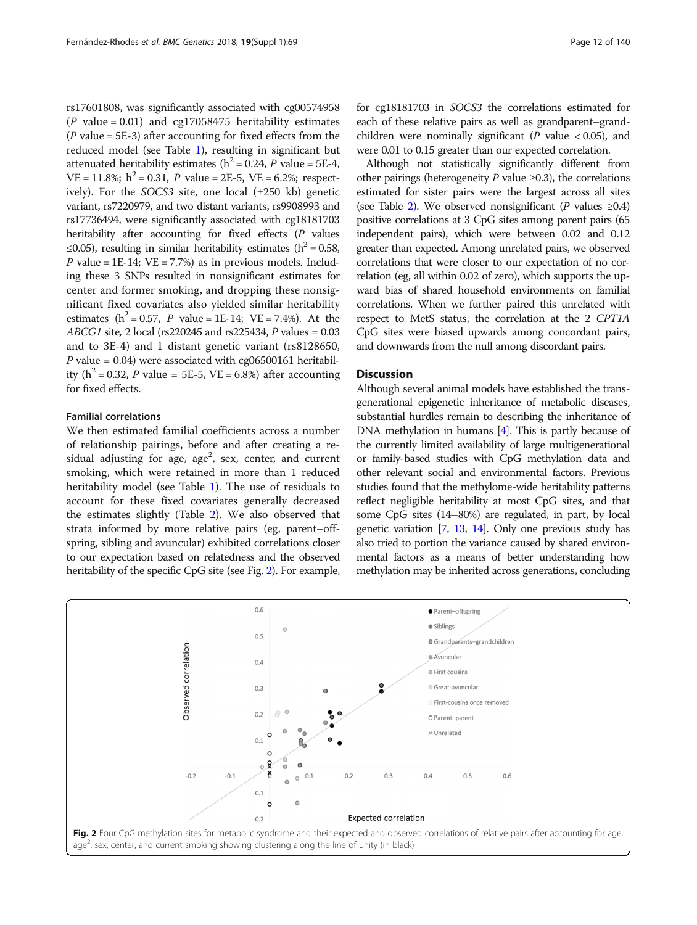rs17601808, was significantly associated with cg00574958 ( $P$  value = 0.01) and cg17058475 heritability estimates  $(P$  value = 5E-3) after accounting for fixed effects from the reduced model (see Table [1\)](#page-2-0), resulting in significant but attenuated heritability estimates ( $h^2 = 0.24$ , P value = 5E-4, VE = 11.8%;  $h^2 = 0.31$ , P value = 2E-5, VE = 6.2%; respectively). For the SOCS3 site, one local (±250 kb) genetic variant, rs7220979, and two distant variants, rs9908993 and rs17736494, were significantly associated with cg18181703 heritability after accounting for fixed effects (P values ≤0.05), resulting in similar heritability estimates ( $h^2$  = 0.58,  $P$  value = 1E-14; VE = 7.7%) as in previous models. Including these 3 SNPs resulted in nonsignificant estimates for center and former smoking, and dropping these nonsignificant fixed covariates also yielded similar heritability estimates ( $h^2 = 0.57$ , *P* value = 1E-14; VE = 7.4%). At the ABCG1 site, 2 local (rs220245 and rs225434, P values = 0.03 and to 3E-4) and 1 distant genetic variant (rs8128650, P value =  $0.04$ ) were associated with cg06500161 heritability ( $h^2$  = 0.32, P value = 5E-5, VE = 6.8%) after accounting for fixed effects.

## Familial correlations

We then estimated familial coefficients across a number of relationship pairings, before and after creating a residual adjusting for age, age<sup>2</sup>, sex, center, and current smoking, which were retained in more than 1 reduced heritability model (see Table [1\)](#page-2-0). The use of residuals to account for these fixed covariates generally decreased the estimates slightly (Table [2](#page-4-0)). We also observed that strata informed by more relative pairs (eg, parent–offspring, sibling and avuncular) exhibited correlations closer to our expectation based on relatedness and the observed heritability of the specific CpG site (see Fig. 2). For example, for cg18181703 in SOCS3 the correlations estimated for each of these relative pairs as well as grandparent–grandchildren were nominally significant ( $P$  value < 0.05), and were 0.01 to 0.15 greater than our expected correlation.

Although not statistically significantly different from other pairings (heterogeneity P value  $\geq$ 0.3), the correlations estimated for sister pairs were the largest across all sites (see Table [2](#page-4-0)). We observed nonsignificant (P values  $\geq 0.4$ ) positive correlations at 3 CpG sites among parent pairs (65 independent pairs), which were between 0.02 and 0.12 greater than expected. Among unrelated pairs, we observed correlations that were closer to our expectation of no correlation (eg, all within 0.02 of zero), which supports the upward bias of shared household environments on familial correlations. When we further paired this unrelated with respect to MetS status, the correlation at the 2 CPT1A CpG sites were biased upwards among concordant pairs, and downwards from the null among discordant pairs.

## **Discussion**

Although several animal models have established the transgenerational epigenetic inheritance of metabolic diseases, substantial hurdles remain to describing the inheritance of DNA methylation in humans [\[4\]](#page-7-0). This is partly because of the currently limited availability of large multigenerational or family-based studies with CpG methylation data and other relevant social and environmental factors. Previous studies found that the methylome-wide heritability patterns reflect negligible heritability at most CpG sites, and that some CpG sites (14–80%) are regulated, in part, by local genetic variation [\[7,](#page-7-0) [13](#page-7-0), [14\]](#page-7-0). Only one previous study has also tried to portion the variance caused by shared environmental factors as a means of better understanding how methylation may be inherited across generations, concluding

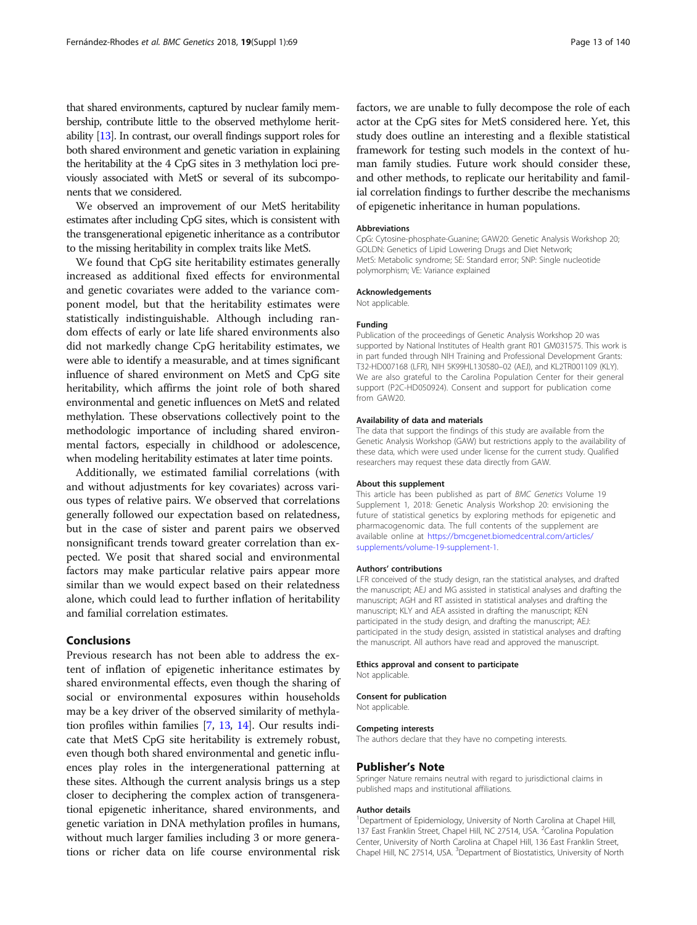that shared environments, captured by nuclear family membership, contribute little to the observed methylome heritability [\[13\]](#page-7-0). In contrast, our overall findings support roles for both shared environment and genetic variation in explaining the heritability at the 4 CpG sites in 3 methylation loci previously associated with MetS or several of its subcomponents that we considered.

We observed an improvement of our MetS heritability estimates after including CpG sites, which is consistent with the transgenerational epigenetic inheritance as a contributor to the missing heritability in complex traits like MetS.

We found that CpG site heritability estimates generally increased as additional fixed effects for environmental and genetic covariates were added to the variance component model, but that the heritability estimates were statistically indistinguishable. Although including random effects of early or late life shared environments also did not markedly change CpG heritability estimates, we were able to identify a measurable, and at times significant influence of shared environment on MetS and CpG site heritability, which affirms the joint role of both shared environmental and genetic influences on MetS and related methylation. These observations collectively point to the methodologic importance of including shared environmental factors, especially in childhood or adolescence, when modeling heritability estimates at later time points.

Additionally, we estimated familial correlations (with and without adjustments for key covariates) across various types of relative pairs. We observed that correlations generally followed our expectation based on relatedness, but in the case of sister and parent pairs we observed nonsignificant trends toward greater correlation than expected. We posit that shared social and environmental factors may make particular relative pairs appear more similar than we would expect based on their relatedness alone, which could lead to further inflation of heritability and familial correlation estimates.

### Conclusions

Previous research has not been able to address the extent of inflation of epigenetic inheritance estimates by shared environmental effects, even though the sharing of social or environmental exposures within households may be a key driver of the observed similarity of methylation profiles within families [\[7](#page-7-0), [13,](#page-7-0) [14](#page-7-0)]. Our results indicate that MetS CpG site heritability is extremely robust, even though both shared environmental and genetic influences play roles in the intergenerational patterning at these sites. Although the current analysis brings us a step closer to deciphering the complex action of transgenerational epigenetic inheritance, shared environments, and genetic variation in DNA methylation profiles in humans, without much larger families including 3 or more generations or richer data on life course environmental risk

factors, we are unable to fully decompose the role of each actor at the CpG sites for MetS considered here. Yet, this study does outline an interesting and a flexible statistical framework for testing such models in the context of human family studies. Future work should consider these, and other methods, to replicate our heritability and familial correlation findings to further describe the mechanisms of epigenetic inheritance in human populations.

#### Abbreviations

CpG: Cytosine-phosphate-Guanine; GAW20: Genetic Analysis Workshop 20; GOLDN: Genetics of Lipid Lowering Drugs and Diet Network; MetS: Metabolic syndrome; SE: Standard error; SNP: Single nucleotide polymorphism; VE: Variance explained

#### Acknowledgements

Not applicable.

#### Funding

Publication of the proceedings of Genetic Analysis Workshop 20 was supported by National Institutes of Health grant R01 GM031575. This work is in part funded through NIH Training and Professional Development Grants: T32-HD007168 (LFR), NIH 5K99HL130580–02 (AEJ), and KL2TR001109 (KLY). We are also grateful to the Carolina Population Center for their general support (P2C-HD050924). Consent and support for publication come from GAW20.

#### Availability of data and materials

The data that support the findings of this study are available from the Genetic Analysis Workshop (GAW) but restrictions apply to the availability of these data, which were used under license for the current study. Qualified researchers may request these data directly from GAW.

#### About this supplement

This article has been published as part of BMC Genetics Volume 19 Supplement 1, 2018: Genetic Analysis Workshop 20: envisioning the future of statistical genetics by exploring methods for epigenetic and pharmacogenomic data. The full contents of the supplement are available online at [https://bmcgenet.biomedcentral.com/articles/](https://bmcgenet.biomedcentral.com/articles/supplements/volume-19-supplement-1) [supplements/volume-19-supplement-1.](https://bmcgenet.biomedcentral.com/articles/supplements/volume-19-supplement-1)

#### Authors' contributions

LFR conceived of the study design, ran the statistical analyses, and drafted the manuscript; AEJ and MG assisted in statistical analyses and drafting the manuscript; AGH and RT assisted in statistical analyses and drafting the manuscript; KLY and AEA assisted in drafting the manuscript; KEN participated in the study design, and drafting the manuscript; AEJ: participated in the study design, assisted in statistical analyses and drafting the manuscript. All authors have read and approved the manuscript.

#### Ethics approval and consent to participate

Not applicable.

Consent for publication

Not applicable.

#### Competing interests

The authors declare that they have no competing interests.

#### Publisher's Note

Springer Nature remains neutral with regard to jurisdictional claims in published maps and institutional affiliations.

#### Author details

<sup>1</sup>Department of Epidemiology, University of North Carolina at Chapel Hill 137 East Franklin Street, Chapel Hill, NC 27514, USA. <sup>2</sup>Carolina Population Center, University of North Carolina at Chapel Hill, 136 East Franklin Street, Chapel Hill, NC 27514, USA. <sup>3</sup>Department of Biostatistics, University of North